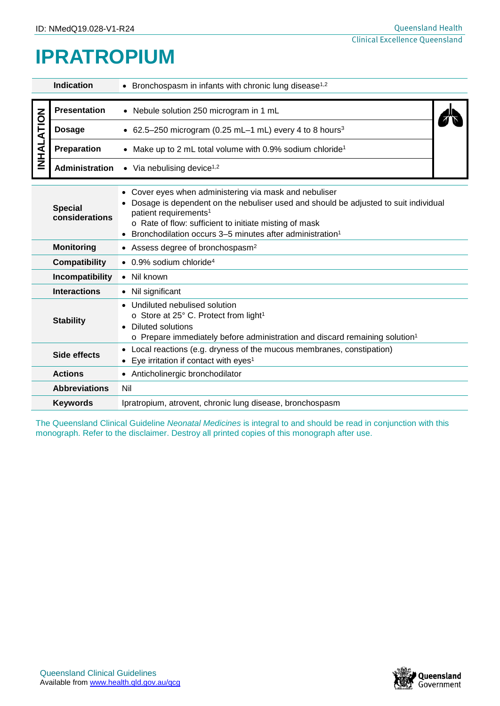## **IPRATROPIUM**

| <b>Indication</b>                |                                                                              | • Bronchospasm in infants with chronic lung disease <sup>1,2</sup>                                                                                                                                                                                                                                                 |  |  |  |
|----------------------------------|------------------------------------------------------------------------------|--------------------------------------------------------------------------------------------------------------------------------------------------------------------------------------------------------------------------------------------------------------------------------------------------------------------|--|--|--|
| <b>INHALATION</b>                | <b>Presentation</b>                                                          | • Nebule solution 250 microgram in 1 mL                                                                                                                                                                                                                                                                            |  |  |  |
|                                  | <b>Dosage</b>                                                                | • 62.5-250 microgram (0.25 mL-1 mL) every 4 to 8 hours <sup>3</sup>                                                                                                                                                                                                                                                |  |  |  |
|                                  | Preparation                                                                  | Make up to 2 mL total volume with 0.9% sodium chloride <sup>1</sup>                                                                                                                                                                                                                                                |  |  |  |
|                                  | Administration                                                               | $\bullet$ Via nebulising device <sup>1,2</sup>                                                                                                                                                                                                                                                                     |  |  |  |
| <b>Special</b><br>considerations |                                                                              | Cover eyes when administering via mask and nebuliser<br>Dosage is dependent on the nebuliser used and should be adjusted to suit individual<br>patient requirements <sup>1</sup><br>o Rate of flow: sufficient to initiate misting of mask<br>Bronchodilation occurs 3–5 minutes after administration <sup>1</sup> |  |  |  |
|                                  | <b>Monitoring</b>                                                            | • Assess degree of bronchospasm <sup>2</sup>                                                                                                                                                                                                                                                                       |  |  |  |
|                                  | <b>Compatibility</b>                                                         | $\bullet$ 0.9% sodium chloride <sup>4</sup>                                                                                                                                                                                                                                                                        |  |  |  |
|                                  | Incompatibility                                                              | • Nil known                                                                                                                                                                                                                                                                                                        |  |  |  |
| <b>Interactions</b>              |                                                                              | • Nil significant                                                                                                                                                                                                                                                                                                  |  |  |  |
| <b>Stability</b>                 |                                                                              | Undiluted nebulised solution<br>o Store at 25° C. Protect from light <sup>1</sup><br><b>Diluted solutions</b><br>$\circ$ Prepare immediately before administration and discard remaining solution <sup>1</sup>                                                                                                     |  |  |  |
| $\bullet$<br><b>Side effects</b> |                                                                              | Local reactions (e.g. dryness of the mucous membranes, constipation)<br>Eye irritation if contact with eyes <sup>1</sup>                                                                                                                                                                                           |  |  |  |
|                                  | <b>Actions</b>                                                               | • Anticholinergic bronchodilator                                                                                                                                                                                                                                                                                   |  |  |  |
|                                  | <b>Abbreviations</b>                                                         | Nil                                                                                                                                                                                                                                                                                                                |  |  |  |
|                                  | Ipratropium, atrovent, chronic lung disease, bronchospasm<br><b>Keywords</b> |                                                                                                                                                                                                                                                                                                                    |  |  |  |

The Queensland Clinical Guideline *Neonatal Medicines* is integral to and should be read in conjunction with this monograph. Refer to the disclaimer. Destroy all printed copies of this monograph after use.